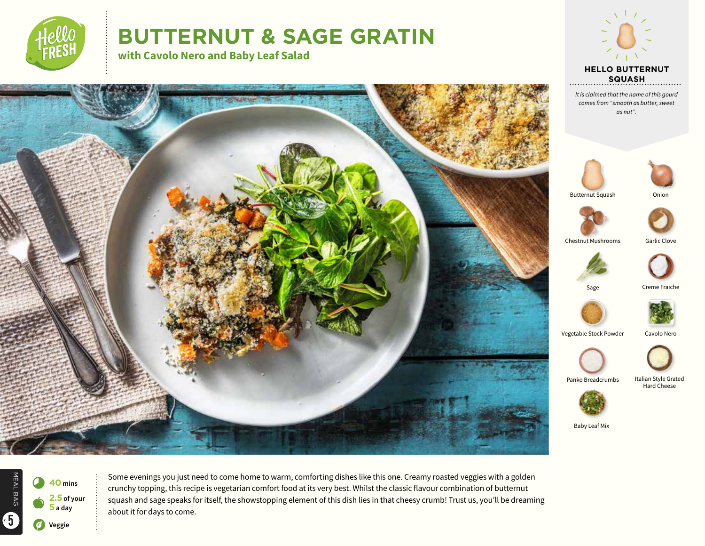

# **BUTTERNUT & SAGE GRATIN**

**with Cavolo Nero and Baby Leaf Salad**



*It is claimed that the name of this gourd comes from "smooth as butter, sweet as nut".*











Chestnut Mushrooms Garlic Clove



Sage Creme Fraiche





Vegetable Stock Powder Cavolo Nero



Panko Breadcrumbs



Baby Leaf Mix

MEAL BAG MEAL BAG 8 **<sup>40</sup> mins 2.5 of your**   $\bullet$ **5 a day** 5V **Veggie**

Some evenings you just need to come home to warm, comforting dishes like this one. Creamy roasted veggies with a golden crunchy topping, this recipe is vegetarian comfort food at its very best. Whilst the classic flavour combination of butternut squash and sage speaks for itself, the showstopping element of this dish lies in that cheesy crumb! Trust us, you'll be dreaming about it for days to come.







![](_page_0_Picture_28.jpeg)

Italian Style Grated Hard Cheese

![](_page_0_Picture_30.jpeg)